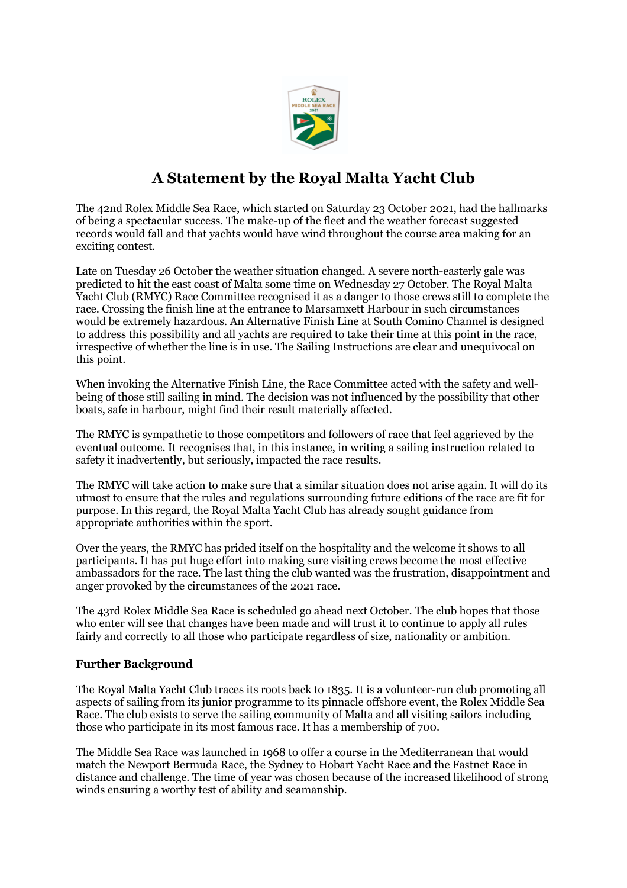

## **A Statement by the Royal Malta Yacht Club**

The 42nd Rolex Middle Sea Race, which started on Saturday 23 October 2021, had the hallmarks of being a spectacular success. The make-up of the fleet and the weather forecast suggested records would fall and that yachts would have wind throughout the course area making for an exciting contest.

Late on Tuesday 26 October the weather situation changed. A severe north-easterly gale was predicted to hit the east coast of Malta some time on Wednesday 27 October. The Royal Malta Yacht Club (RMYC) Race Committee recognised it as a danger to those crews still to complete the race. Crossing the finish line at the entrance to Marsamxett Harbour in such circumstances would be extremely hazardous. An Alternative Finish Line at South Comino Channel is designed to address this possibility and all yachts are required to take their time at this point in the race, irrespective of whether the line is in use. The Sailing Instructions are clear and unequivocal on this point.

When invoking the Alternative Finish Line, the Race Committee acted with the safety and wellbeing of those still sailing in mind. The decision was not influenced by the possibility that other boats, safe in harbour, might find their result materially affected.

The RMYC is sympathetic to those competitors and followers of race that feel aggrieved by the eventual outcome. It recognises that, in this instance, in writing a sailing instruction related to safety it inadvertently, but seriously, impacted the race results.

The RMYC will take action to make sure that a similar situation does not arise again. It will do its utmost to ensure that the rules and regulations surrounding future editions of the race are fit for purpose. In this regard, the Royal Malta Yacht Club has already sought guidance from appropriate authorities within the sport.

Over the years, the RMYC has prided itself on the hospitality and the welcome it shows to all participants. It has put huge effort into making sure visiting crews become the most effective ambassadors for the race. The last thing the club wanted was the frustration, disappointment and anger provoked by the circumstances of the 2021 race.

The 43rd Rolex Middle Sea Race is scheduled go ahead next October. The club hopes that those who enter will see that changes have been made and will trust it to continue to apply all rules fairly and correctly to all those who participate regardless of size, nationality or ambition.

## **Further Background**

The Royal Malta Yacht Club traces its roots back to 1835. It is a volunteer-run club promoting all aspects of sailing from its junior programme to its pinnacle offshore event, the Rolex Middle Sea Race. The club exists to serve the sailing community of Malta and all visiting sailors including those who participate in its most famous race. It has a membership of 700.

The Middle Sea Race was launched in 1968 to offer a course in the Mediterranean that would match the Newport Bermuda Race, the Sydney to Hobart Yacht Race and the Fastnet Race in distance and challenge. The time of year was chosen because of the increased likelihood of strong winds ensuring a worthy test of ability and seamanship.